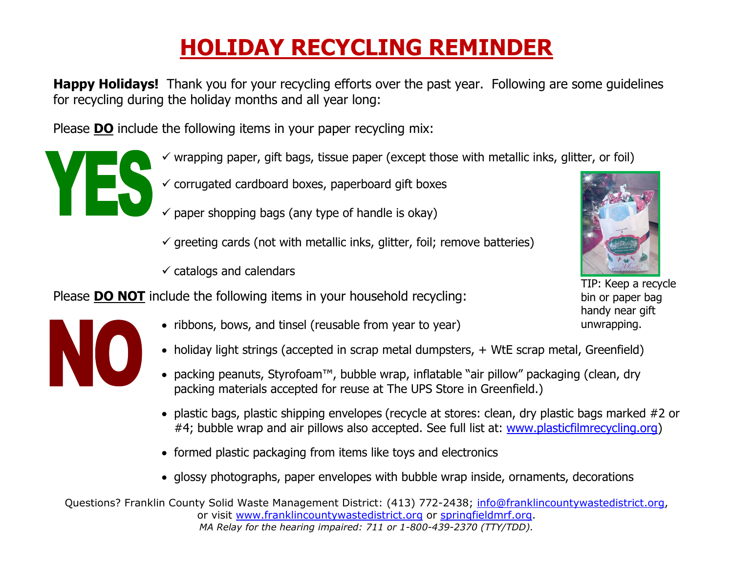## **HOLIDAY RECYCLING REMINDER**

 **Happy Holidays!** Thank you for your recycling efforts over the past year. Following are some guidelines for recycling during the holiday months and all year long:

Please **DO** include the following items in your paper recycling mix:



- $\checkmark$  corrugated cardboard boxes, paperboard gift boxes
- $\checkmark$  paper shopping bags (any type of handle is okay)
- $\checkmark$  greeting cards (not with metallic inks, glitter, foil; remove batteries)
- $\checkmark$  catalogs and calendars

Please **DO NOT** include the following items in your household recycling:

- ribbons, bows, and tinsel (reusable from year to year)
- holiday light strings (accepted in scrap metal dumpsters, + WtE scrap metal, Greenfield)
- packing peanuts, Styrofoam™, bubble wrap, inflatable "air pillow" packaging (clean, dry packing materials accepted for reuse at The UPS Store in Greenfield.)
- plastic bags, plastic shipping envelopes (recycle at stores: clean, dry plastic bags marked #2 or #4; bubble wrap and air pillows also accepted. See full list at: [www.plasticfilmrecycling.org\)](http://www.plasticfilmrecycling.org/)
- formed plastic packaging from items like toys and electronics
- glossy photographs, paper envelopes with bubble wrap inside, ornaments, decorations

Questions? Franklin County Solid Waste Management District: (413) 772-2438; [info@franklincountywastedistrict.org,](mailto:info@franklincountywastedistrict.org) or visit [www.franklincountywastedistrict.org](http://www.franklincountywastedistrict.org/) or [springfieldmrf.org.](http://springfieldmrf.org/) *MA Relay for the hearing impaired: 711 or 1-800-439-2370 (TTY/TDD).*